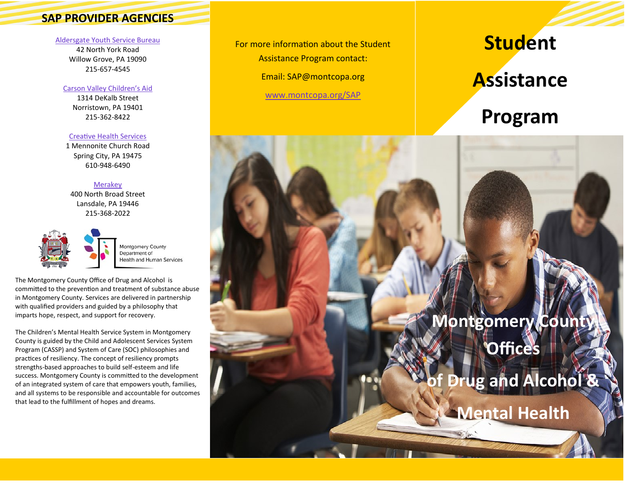### **SAP PROVIDER AGENCIES**

#### [Aldersgate Youth Service Bureau](https://www.montcopa.org/DocumentCenter/View/27777/Aldersgate-Student-Assistance-Program)

42 North York Road Willow Grove, PA 19090 215-657-4545

### [Carson Valley Children's Aid](https://www.montcopa.org/DocumentCenter/View/27783/Carson-Valley-Childrens-Aid-Student-Assistance-Program)

1314 DeKalb Street Norristown, PA 19401 215-362-8422

#### [Creative Health Services](https://www.montcopa.org/DocumentCenter/View/27779/Creative-Health-Student-Assistance-Program-Brochure)

1 Mennonite Church Road Spring City, PA 19475 610-948-6490

### [Merakey](https://www.montcopa.org/DocumentCenter/View/27780/Merakey-Student-Assistance-Program)

400 North Broad Street Lansdale, PA 19446 215-368-2022



Montgomery County Department of **Health and Human Services** 

The Montgomery County Office of Drug and Alcohol is committed to the prevention and treatment of substance abuse in Montgomery County. Services are delivered in partnership with qualified providers and guided by a philosophy that imparts hope, respect, and support for recovery.

The Children's Mental Health Service System in Montgomery County is guided by the Child and Adolescent Services System Program (CASSP) and System of Care (SOC) philosophies and practices of resiliency. The concept of resiliency prompts strengths-based approaches to build self-esteem and life success. Montgomery County is committed to the development of an integrated system of care that empowers youth, families, and all systems to be responsible and accountable for outcomes that lead to the fulfillment of hopes and dreams.

For more information about the Student

Assistance Program contact:

Email: SAP@montcopa.org

[www.montcopa.org/SAP](https://www.montcopa.org/2895/Student-Assistance-Program)

# **Student**

## **Assistance**

## **Program**

# **Montgomery County Offices**

# **of Drug and Alcohol &**

**Mental Health**